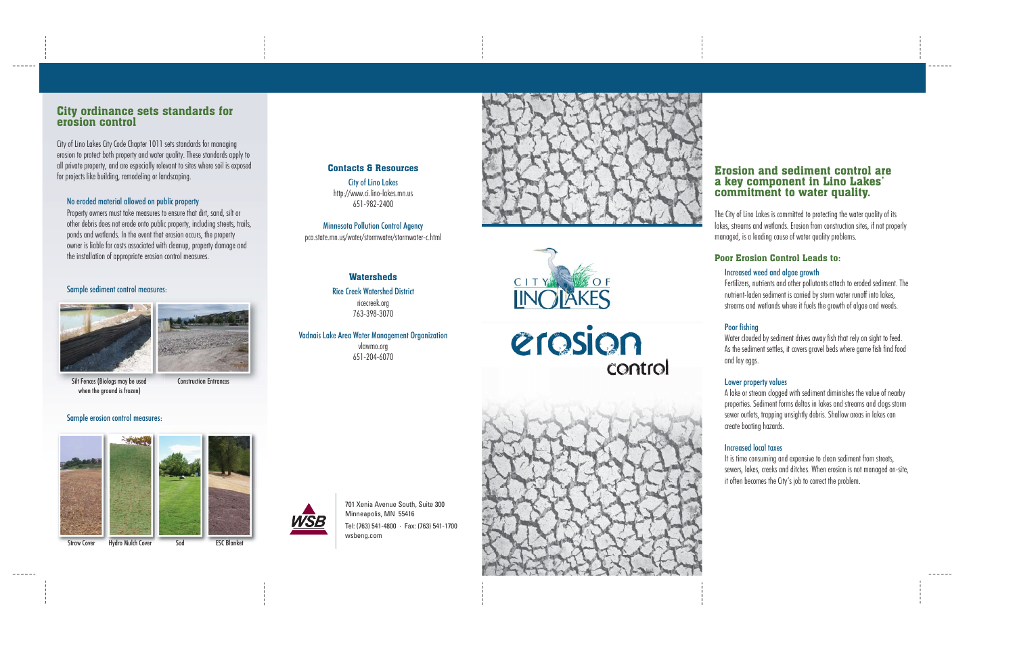# Erosion and sediment control area key component in Lino Lakes' commitment to water quality.

. . . . . .

 $\frac{1}{2}$ 

The City of Lino Lakes is committed to protecting the water quality of its lakes, streams and wetlands. Erosion from construction sites, if not properly managed, is a leading cause of water quality problems.

# Poor Erosion Control Leads to:

# Increased weed and algae growth

Fertilizers, nutrients and other pollutants attach to eroded sediment. The nutrient-laden sediment is carried by storm water runoff into lakes, streams and wetlands where it fuels the growth of algae and weeds.

# Poor fishing

Water clouded by sediment drives away fish that rely on sight to feed. As the sediment settles, it covers gravel beds where game fish find food

and lay eggs.

# Lower property values

A lake or stream clogged with sediment diminishes the value of nearby properties. Sediment forms deltas in lakes and streams and clogs storm sewer outlets, trapping unsightly debris. Shallow areas in lakes can create boating hazards.

# Increased local taxes

It is time consuming and expensive to clean sediment from streets, sewers, lakes, creeks and ditches. When erosion is not managed on-site, it often becomes the City's job to correct the problem.

**Watersheds** Rice Creek Watershed Districtricecreek.org 763-398-3070

# erosion control



701 Xenia Avenue South, Suite 300 Minneapolis, MN 55416 Tel: (763) 541-4800 · Fax: (763) 541-1700 wsbeng.com

# City ordinance sets standards for erosion control

 $- - - - -$ 

City of Lino Lakes City Code Chapter 1011 sets standards for managing erosion to protect both property and water quality. These standards apply to all private property, and are especially relevant to sites where soil is exposed for projects like building, remodeling or landscaping.

# No eroded material allowed on public property

Property owners must take measures to ensure that dirt, sand, silt or other debris does not erode onto public property, including streets, trails, ponds and wetlands. In the event that erosion occurs, the property owner is liable for costs associated with cleanup, property damage and the installation of appropriate erosion control measures.

### Sample sediment control measures:





Contacts & ResourcesCity of Lino Lakes http://www.ci.lino-lakes.mn.us 651-982-2400

Minnesota Pollution Control Agency pca.state.mn.us/water/stormwater/stormwater-c.html

Vadnais Lake Area Water Management Organization vlawmo.org 651-204-6070





Silt Fences (Biologs may be used when the ground is frozen)

Construction Entrances

### Sample erosion control measures:



 $- - - - - -$ 



Straw Cover Hydro Mulch Cover Sod ESC Blanket